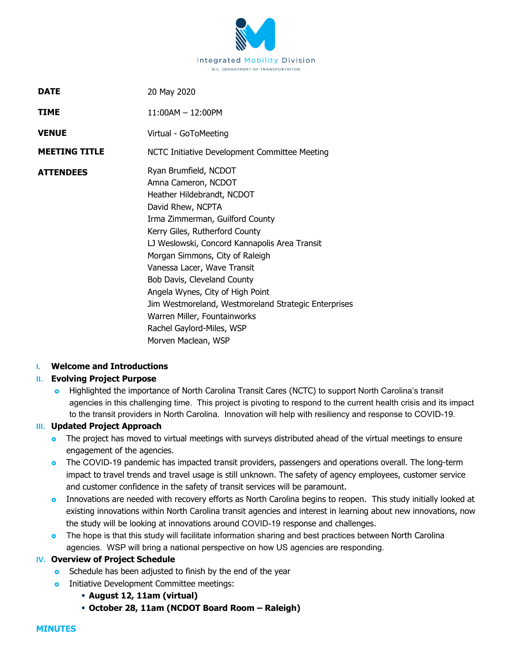

| DATE                 | 20 May 2020                                                                                                                                                                                                                                                                                                                                                                                                                                                                                            |
|----------------------|--------------------------------------------------------------------------------------------------------------------------------------------------------------------------------------------------------------------------------------------------------------------------------------------------------------------------------------------------------------------------------------------------------------------------------------------------------------------------------------------------------|
| TIME                 | 11:00AM - 12:00PM                                                                                                                                                                                                                                                                                                                                                                                                                                                                                      |
| VENUE                | Virtual - GoToMeeting                                                                                                                                                                                                                                                                                                                                                                                                                                                                                  |
| <b>MEETING TITLE</b> | NCTC Initiative Development Committee Meeting                                                                                                                                                                                                                                                                                                                                                                                                                                                          |
| <b>ATTENDEES</b>     | Ryan Brumfield, NCDOT<br>Amna Cameron, NCDOT<br>Heather Hildebrandt, NCDOT<br>David Rhew, NCPTA<br>Irma Zimmerman, Guilford County<br>Kerry Giles, Rutherford County<br>LJ Weslowski, Concord Kannapolis Area Transit<br>Morgan Simmons, City of Raleigh<br>Vanessa Lacer, Wave Transit<br>Bob Davis, Cleveland County<br>Angela Wynes, City of High Point<br>Jim Westmoreland, Westmoreland Strategic Enterprises<br>Warren Miller, Fountainworks<br>Rachel Gaylord-Miles, WSP<br>Morven Maclean, WSP |

## **I. Welcome and Introductions**

## **II. Evolving Project Purpose**

 Highlighted the importance of North Carolina Transit Cares (NCTC) to support North Carolina's transit agencies in this challenging time. This project is pivoting to respond to the current health crisis and its impact to the transit providers in North Carolina. Innovation will help with resiliency and response to COVID-19.

## **III. Updated Project Approach**

- o The project has moved to virtual meetings with surveys distributed ahead of the virtual meetings to ensure engagement of the agencies.
- **o** The COVID-19 pandemic has impacted transit providers, passengers and operations overall. The long-term impact to travel trends and travel usage is still unknown. The safety of agency employees, customer service and customer confidence in the safety of transit services will be paramount.
- **o** Innovations are needed with recovery efforts as North Carolina begins to reopen. This study initially looked at existing innovations within North Carolina transit agencies and interest in learning about new innovations, now the study will be looking at innovations around COVID-19 response and challenges.
- **o** The hope is that this study will facilitate information sharing and best practices between North Carolina agencies. WSP will bring a national perspective on how US agencies are responding.

# **IV. Overview of Project Schedule**

- **o** Schedule has been adjusted to finish by the end of the year
- **o** Initiative Development Committee meetings:
	- **August 12, 11am (virtual)**
	- **October 28, 11am (NCDOT Board Room Raleigh)**